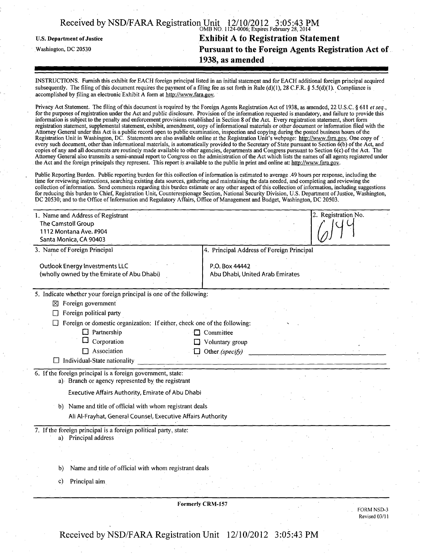|                                   | Received by NSD/FARA Registration Unit $12/10/2012$ 3:05:43 PM<br>OMB NO. 1124-0006; Expires February 28, 2014 |
|-----------------------------------|----------------------------------------------------------------------------------------------------------------|
| <b>U.S. Department of Justice</b> | <b>Exhibit A to Registration Statement</b>                                                                     |
| Washington, DC 20530              | Pursuant to the Foreign Agents Registration Act of                                                             |
|                                   | 1938, as amended                                                                                               |

INSTRUCTIONS. Furnish this exhibit for EACH foreign principal listed in an initial statement and for EACH additional foreign principal acquired subsequently. The filing of this document requires the payment of a filing fee as set forth in Rule (d)(1), 28 C.F.R. § 5.5(d)(1). Compliance is accomplished by filing an electronic Exhibit A form at [http://www.fara.gov.](http://www.fara.gov)

Privacy Act Statement. The filing of this document is required by the Foreign Agents Registration Act of 1938, as amended, 22 U.S.C. § 611 et seq., for the purposes of registration under the Act and public disclosure. Provision of the information requested is mandatory, and failure to provide this information is subject to the penalty and enforcement provisions established in Section 8 of the Act. Every registration statement, short form registration statement, supplemental statement, exhibit, amendment, copy of informational materials or other document or information filed with the Attorney General under this Act is a public record open to public examination, inspection and copying during the posted business hours of the Registration Unit in Washington, DC. Statements are also available online at the Registration Unit's webpage: http://www.fara.gov. One copy of every such document, other than informational materials, is automatically provided to the Secretary of State pursuant to Section  $\vec{b}$ (b) of the Act, and copies of any and all documents are routinely made available to other agencies, departments and Congress pursuant to Section 6(c) of the Act. The Attorney General also transmits a semi-annual report to Congress on the administration of the Act which lists the names of all agents registered under the Act and the foreign principals they represent. This report is available to the public in print and online at: [http://www.fara.gov.](http://www.fara.gov)

Public Reporting Burden. Public reporting burden for this collection of information is estimated to average .49 hours per response, including the time for reviewing instructions, searching existing data sources, gathering and maintaining the data needed, and completing and reviewing the collection of information. Send comments regarding this burden estimate or any other aspect of this collection of information, including suggestions for reducing this burden to Chief, Registration Unit, Counterespionage Section, National Security Division, U.S. Department of Justice, Washington, DC 20530; and to the Office of Information and Regulatory Affairs, Office of Management and Budget, Washington, DC 20503.

| 1. Name and Address of Registrant<br>The Camstoll Group<br>1112 Montana Ave. #904<br>Santa Monica, CA 90403      |                                                   | 2. Registration No. |  |
|------------------------------------------------------------------------------------------------------------------|---------------------------------------------------|---------------------|--|
| 3. Name of Foreign Principal                                                                                     | 4. Principal Address of Foreign Principal         |                     |  |
| <b>Outlook Energy Investments LLC</b><br>(wholly owned by the Emirate of Abu Dhabi)                              | P.O. Box 44442<br>Abu Dhabi, United Arab Emirates |                     |  |
| 5. Indicate whether your foreign principal is one of the following:                                              |                                                   |                     |  |
| Foreign government<br>⊠                                                                                          |                                                   |                     |  |
| Foreign political party                                                                                          |                                                   |                     |  |
| Foreign or domestic organization: If either, check one of the following:                                         |                                                   |                     |  |
| $\Box$ Partnership                                                                                               | Committee                                         |                     |  |
| Corporation                                                                                                      | Voluntary group                                   |                     |  |
| Association<br>Individual-State nationality                                                                      | Other (specify)                                   |                     |  |
| 6. If the foreign principal is a foreign government, state:<br>a) Branch or agency represented by the registrant |                                                   |                     |  |
| Executive Affairs Authority, Emirate of Abu Dhabi                                                                |                                                   |                     |  |
| b) Name and title of official with whom registrant deals                                                         |                                                   |                     |  |
| Ali Al-Frayhat, General Counsel, Executive Affairs Authority                                                     |                                                   |                     |  |
| 7. If the foreign principal is a foreign political party, state:<br>a) Principal address                         |                                                   |                     |  |
|                                                                                                                  |                                                   |                     |  |
| Name and title of official with whom registrant deals<br>b)                                                      |                                                   |                     |  |
| Principal aim<br>C)                                                                                              |                                                   |                     |  |

Formerly CRM-157

FORM NSD-3 Revised 03/11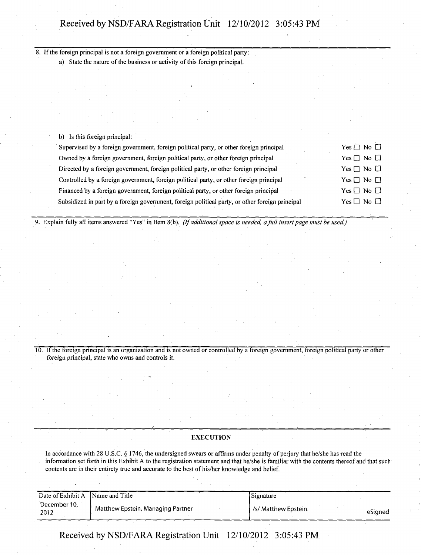8. If the foreign principal is not a foreign government or a foreign political party:

a) State the nature of the business or activity of this foreign principal.

b) Is this foreign principal:

| Supervised by a foreign government, foreign political party, or other foreign principal         | Yes $\Box$ No $\Box$ |
|-------------------------------------------------------------------------------------------------|----------------------|
| Owned by a foreign government, foreign political party, or other foreign principal              | Yes $\Box$ No $\Box$ |
| Directed by a foreign government, foreign political party, or other foreign principal           | Yes $\Box$ No $\Box$ |
| Controlled by a foreign government, foreign political party, or other foreign principal         | $Yes \Box No \Box$   |
| Financed by a foreign government, foreign political party, or other foreign principal           | $Yes \Box No \Box$   |
| Subsidized in part by a foreign government, foreign political party, or other foreign principal | $Yes \Box No \Box$   |

9. Explain fully all items answered "Yes" in Item 8(b). (If additional space is needed, a full insert page must be used.)

10. If the foreign principal is an organization and is not owned or controlled by a foreign government, foreign political party or other foreign principal, state who owns and controls it.

#### **EXECUTION**

In accordance with 28 U.S.C. § 1746, the undersigned swears or affirms under penalty of perjury that he/she has read the information set forth in this Exhibit A to the registration statement and that he/she is familiar with the contents thereof and that such contents are in their entirety true and accurate to the best of his/her knowledge and belief.

| Date of Exhibit A     | Name and Title                    | Signature                        |
|-----------------------|-----------------------------------|----------------------------------|
| December 10,<br>-2012 | Matthew Epstein, Managing Partner | l /s/ Matthew Epstein<br>eSianed |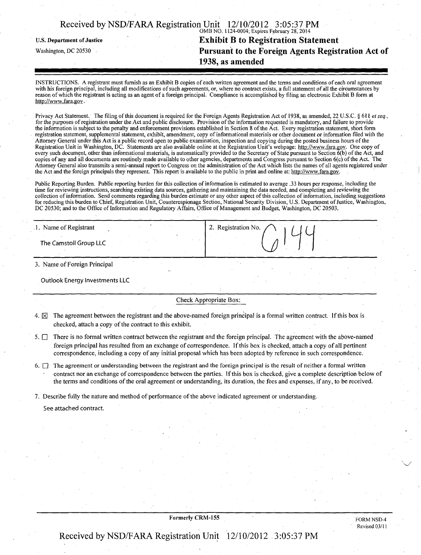| Received by NSD/FARA Registration Unit 12/10/2012 3:05:37 PM |        |  |
|--------------------------------------------------------------|--------|--|
|                                                              | $\sim$ |  |

## OMB NO. 1124-0004; Expires February 28; 2014 U.S. Department of Justice **Exhibit B to Registration Statement**<br>Washington, DC 20530 **Pursuant to the Foreign Agents Regist** Pursuant to the Foreign Agents Registration Act of 1938, as amended

INSTRUCTIONS. A registrant must furnish as an Exhibit B copies of each written agreement and the terms and conditions of each oral agreement with his foreign principal, including all modifications of such agreements, or, where no contract exists, a full statement of all the circumstances by reason of which the registrant is acting as an agent of a foreign principal. Compliance is accomplished by filing an electronic Exhibit B form at [http://www.fara.gov.](http://www.fara.gov)

Privacy Act Statement. The filing of this document is required for the Foreign Agents Registration Act of 1938, as amended, 22 U.S.C. § 611 et seq., for the purposes of registration under the Act and public disclosure. Provision of the information requested is mandatory, and failure to provide the information is subject to the penalty and enforcement provisions established in Section 8 of the Act. Every registration statement, short form registration statement, supplemental statement, exhibit, amendment, copy of informational materials or other document or information filed with the Attorney General under this Act is a public record open to public examination, inspection and copying during the posted business hours of the Registration Unit in Washington, DC. Statements are also available online at the Registration Unit's webpage: [http://www.fara.gov.](http://www.fara.gov) One copy of every such document, other than informational materials, is automatically provided to the Secretary of State pursuant to Section 6(b) of the Act, and copies of any and all documents are routinely made available to other agencies, departments and Congress pursuant to Section 6(c) of the Act. The Attorney General also transmits a semi-annual report to Congress on the administration of the Act which lists the names of all agents registered under the Act and the foreign principals they represent. This report is available to the public in print and online at: [http://www,fara,gov.](http://www,fara,gov)

Public Reporting Burden. Public reporting burden for this collection of information is estimated to average .33 hours per response, including the time for reviewing instructions, searching existing data sources, gathering and maintaining the data needed, and completing and reviewing the collection of information. Send comments regarding this burden estimate or any other aspect of this collection of information, including suggestions for reducing this burden to Chief, Registration Unit, Counterespionage Section, National Security Division, U.S. Department of Justice, Washington, DC 20530; and to the Office of Information and Regulatory Affairs, Office of Management and Budget, Washington, DC 20503.

| 1. Name of Registrant  | 2. Registration No. |
|------------------------|---------------------|
| The Camstoll Group LLC |                     |
|                        |                     |

3. Name of Foreign Principal

Outlook Energy Investments LLC

#### Check Appropriate Box:

- 4.  $\boxtimes$  The agreement between the registrant and the above-named foreign principal is a formal written contract. If this box is checked, attach a copy of the contract to this exhibit.
- $5.$   $\Box$  There is no formal written contract between the registrant and the foreign principal. The agreement with the above-named foreign principal has resulted from an exchange of correspondence. If this box is checked, attach a copy of all pertinent correspondence, including a copy of any initial proposal which has been adopted by reference in such correspondence.
- 6.  $\Box$  The agreement or understanding between the registrant and the foreign principal is the result of neither a formal written contract nor an exchange of correspondence between the parties. If this box is checked, give a complete description below of the terms and conditions of the oral agreement or understanding, its duration, the fees and expenses, if any, to be received.
- 7. Describe fully the nature and method of performance of the above indicated agreement or understanding.

See attached contract.

#### Formerly CRM-155

FORM NSD-4 Revised 03/11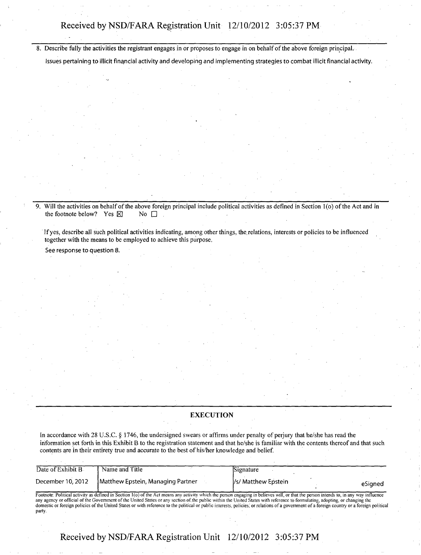Describe fully the activities the registrant engages in or proposes to engage in on behalf of the above foreign principal.

Issues pertaining to illicit financial activity and developing and implementing strategies to combat illicit financial activity.

9. Will the activities on behalf of the above foreign principal include political activities as defined in Section 1(o) of the Act and in the footnote below? Yes  $\boxtimes$  No  $\Box$ the footnote below? Yes  $\boxtimes$ 

Ifyes, describe all such political activities indicating, among other things, the. relations, interests or policies to be influenced together with the means to be employed to achieve this purpose.

See response to question 8.

#### **EXECUTION**

In accordance with 28 U.S.C. § 1746, the undersigned swears or affirms under penalty of perjury that he/she has read the information set forth in this Exhibit B to the registration statement and that he/she is familiar with the contents thereof and that such contents are in their entirety true and accurate to the best of his/her knowledge and belief.

| Date of Exhibit B                                                                                                                                                                                                                                                                                                                                                                                                                                                                                                                                                               | Name and Title                    | Signature                      |  |  |
|---------------------------------------------------------------------------------------------------------------------------------------------------------------------------------------------------------------------------------------------------------------------------------------------------------------------------------------------------------------------------------------------------------------------------------------------------------------------------------------------------------------------------------------------------------------------------------|-----------------------------------|--------------------------------|--|--|
| December 10, 2012                                                                                                                                                                                                                                                                                                                                                                                                                                                                                                                                                               | Matthew Epstein, Managing Partner | Vs/ Matthew Epstein<br>eSianed |  |  |
| Footnote: Political activity as defined in Section 1(o) of the Act means any activity which the person engaging in believes will, or that the person intends to, in any way influence<br>any agency or official of the Government of the United States or any section of the public within the United States with reference to formulating, adopting, or changing the<br>domestic or foreign policies of the United States or with reference to the political or public interests, policies, or relations of a government of a foreign country or a foreign political<br>party. |                                   |                                |  |  |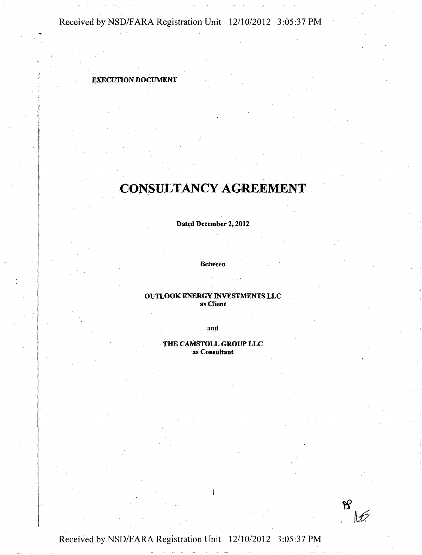### EXECUTION DOCUMENT

# CONSULTANCY AGREEMENT

Dated December 2,2012

Between

#### OUTLOOK ENERGY INVESTMENTS LLC as Client

and

THE CAMSTOLL GROUP LLC as Consultant



Received by NSD/FARA Registration Unit 12/10/2012 3:05:37 PM

we have a series with the series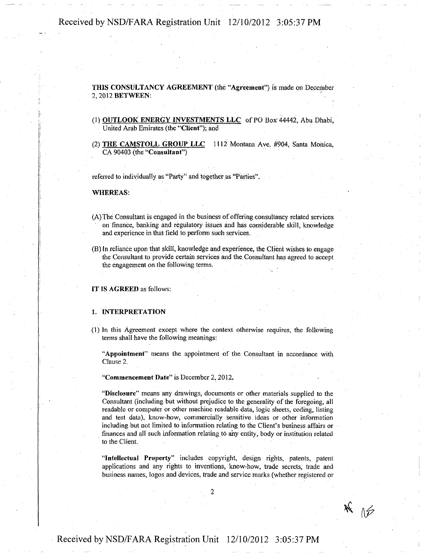THIS CONSULTANCY AGREEMENT (the "Agreement") is made on December 2,2012 BETWEEN:

- (1) OUTLOOK ENERGY INVESTMENTS LLC of PO Box' 44442, Abu Dhabi, United Arab Emirates (the "Client"); and
- (2) THE CAMSTOLL GROUP LLC 1112 Montana- Ave. #904, Santa Monica, CA 90403 (the"Consultant")

referred to individually as "Party" and together as "Parties".

WHEREAS:

- (A) The Consultant is engaged in the business of offering consultancy related services on finance, banking and regulatory issues and has considerable skill, knowledge and experience in that field to perform such services.
- (B) In reliance upon that skill, knowledge and experience, the Client wishes to engage the Consultant to provide certain services and the Consultant has agreed to accept the engagement on the following terms.

IT IS AGREED as follows:

#### 1. INTERPRETATION

(1) In this Agreement except where the context otherwise requires, the following terms shall have the following meanings:

"Appointment" means the appointment of the Consultant in accordance with Clause 2.

"Commencement Date" is December 2, 2012.

"Disclosure" means any drawings, documents or other materials supplied to the Consultant (including but without prejudice to the generality of the foregoing, all readable or computer or other machine readable data, logic sheets, coding, listing and test data), know-how, commercially sensitive ideas or other information including but not limited to information relating to the Client's business affairs or finances and all such information relating t6 any entity, body or institution related to the Client.

"Intellectual Property" includes copyright, design rights, patents, patent applications and any rights to inventions, know-how, trade secrets, trade and business names, logos and devices, trade and service marks (whether registered or

 $*$   $*$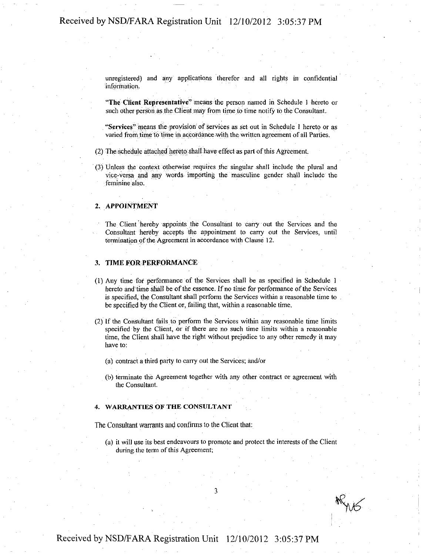unregistered) and any applications therefor and all rights in confidential information,

"The Client Representative" means the person named in Schedule I hereto or such other person as the Client may from time to time notify to the Consultant.

"Services" means the provision of services as set out in Schedule 1 hereto or as varied fromtirne to time in accordance with the written agreement of all Parties.

- (2) The; schedule attached hereto: shall have effect as part of this Agreement.
- (3) Unless the context otherwise requires the singular shall include the plural and vice-versa and any words importing the masculine gender shall include the feminine also.

#### 2. APPOINtMENT

The Client hereby appoints the Consultant to carry out the Services and the Consultant hereby accepts the appointment to carry out the Services, until termination of the Agreement in accordance with Clause 12.

#### 3. TIME FOR PERFORMANCE

- (1) Any time for performance of the Services shall be as specified in Schedule 1 hereto and time shall be of the essence. If no time for performance of the Services is specified, the Consultant shall perform the Services within a reasonable time to be specified by the Client or, failing that, within a reasonable time.
- (2) If the Consultant fails to perform the Services within any reasonable time limits specified by the Client, or if there are no such time limits within a reasonable time, the Client shall have the right without prejudice to any other remedy it may have to:
	- (a) contract a third party to carry out the Services; and/or
	- (b) terminate the Agreement together with any other contract or agreement with the Consultant.

#### 4. WARRANTIES OF THE CONSULTANT

The Consultant warrants and confinns to the Client that:

(a) it will use its best endeavours to promote and protect the interests of the Client during the term of this Agreement;

3

 $\angle$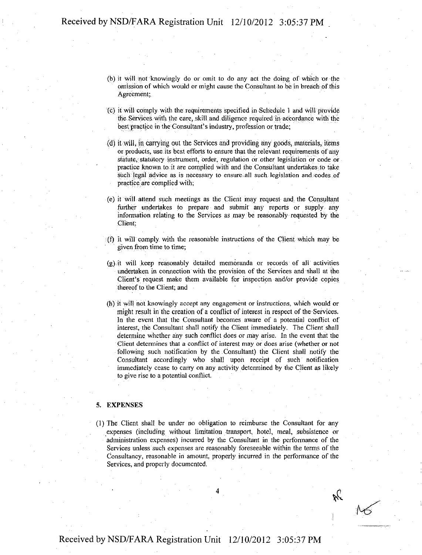- •(b) it will not knowingly do or omit to do any act the doing of which or the omission of which would or might cause the Consultant to be in breach of this Agreement;
- ;(c) it will comply with the requirements specified in Schedule 1 and will provide the Services with the care, skill and.diligence required in accordance with the best practice in the Consultant's industry, profession or trade;
- (d) it will, in carrying out the Services and providing any goods, materials, items or products, use its best efforts to ensure that the relevant requirements of any statute, statutory instrument, order, regulation or other legislation or code or practice known to it are complied with and the Consultant undertakes to take such legal advice as is necessary to ensure: all such legislation and codes of practice are complied with;
- (e) it will attend such meetings as the Client may request and: the Consultant further undertakes to prepare and submit any reports or supply any information relating to the Services as may be reasonably requested by the Client:
- (f) it will comply with the reasonable instructions of the Client which may be given from time to time;
- (g) it will keep reasonably detailed memoranda or records of all activities undertaken in connection with the provision of the Services and shall at the Client's request make them available for inspection and/or provide copies thereof to the Client; and
- (h) it will not knowingly accept any engagement or instructions, which would or might result in the creation of a conflict of interest in respect of the Services. In the event that the Consultant becomes aware of a potential conflict of interest, the Consultant shall notify the Client immediately. The Client shall determine whether any such conflict does or may arise. In the event that the Client determines that a conflict of interest may or does arise (whether or not following such notification by the Consultant) the Client shall notify the Consultant accordingly who shall upon receipt of such notification immediately cease to carry on any activity determined by the Client as likely to give rise to a potential conflict.

#### 5. EXPENSES

(1) The Client shall be under no obligation to reimburse the Consultant for any expenses (including without limitation transport, hotel, meal, subsistence or administration expenses) incurred by the Consultant in the performance of the Services unless such expenses are reasonably foreseeable within the terms of the Consultancy, reasonable in amount, properly incurred in the performance of the Services, and properly documented.

 $\mathcal{R}$ 

 $\mathcal{M}$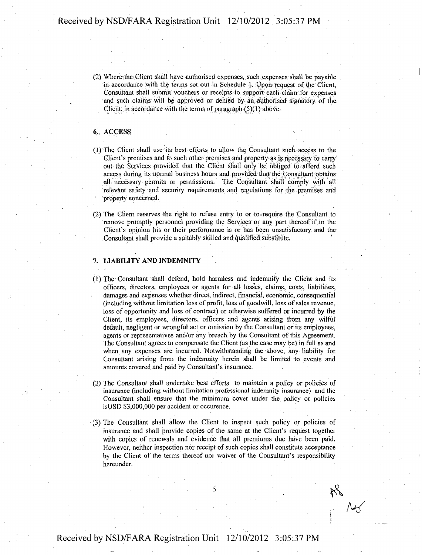(2) Where the Client shall have authorised expenses, such expenses shall be payable in accordance with the terms set out in Schedule 1. iUpoh request of the Client, Consultant shall submit vouchers or receipts to support each claim for expenses and such claims will be approved or denied by an authorised signatory of the Client, in accordance with the terms of paragraph (5)(1) above.

#### 6: ACCESS

- (1) The Client shall use its best efforts to allow the Consultant such access to the Client's premises and to such other premises and property as is necessary to carry out the Services provided that the Client shall only be obliged to afford such access during its normal business hours and provided that the; Consultant obtains all necessary permits or permissions. The Consultant shall comply with all relevant safety and security requirements and regulations for the premises and property concerned.
- (2) The Client reserves the right to refuse entry to or to require the Consultant to remove promptly personnel providing the Services or any part thereof if in the Client's opinion his or their performance is or has been unsatisfactory and the Consultant shall provide a suitably skilled and qualified; substitute.

#### 7. LIABILITY AND INDEMNITY

- (1) The Consultant shall defend, hold harmless and indemnify the Client and its officers, directors, employees or agents for all losses, claims, costs, liabilities, damages and expenses whether direct, indirect, financial, economic, consequential (including without limitation loss of profit, loss of goodwill, loss of sales revenue, loss of opportunity and loss of contract) or otherwise suffered or incurred by the Client, its employees, directors, officers and agents arising from any wilful default, negligent or wrongful act or omission by the Consultant or its employees, agents or representatives and/or any breach by the Consultant of this Agreement. The Consultant agrees to compensate the Client (as the case may be) in full as and when any expenses are incurred. Notwithstanding the above, any liability for Consultant arising from the indemnity herein shall be limited to events and amounts covered and paid by Consultant's insurance.
- (2) The Consultant shall undertake best efforts to maintain a policy or policies of insurance (including without limitation professional indemnity insurance) and the Consultant shall ensure that the minimum cover under the policy or policies isUSD \$3,000,000 per accident or occurence.
- (3) The Consultant shall allow the Client to inspect such policy or policies of insurance and shall provide copies of the same at the Client's request together with copies of renewals and evidence that all premiums due have been paid. However, neither inspection nor receipt of such copies shall constitute acceptance by the Client of the terms thereof nor waiver of the Consultant's responsibility hereunder.

^

 $\mathcal{M}$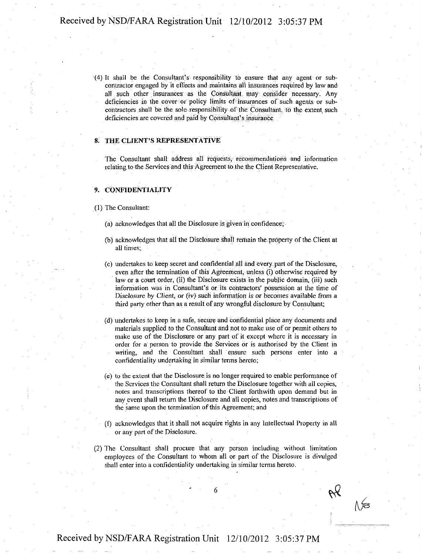(4) It shall be the Consultant's responsibility to ensure that any agent or subcontractor engaged by it effects and maintains all insurances required by law and all such other insurances as the Consultant may consider necessary. Any deficiencies in the cover or policy limits of insurances of such agents or subcontractors shall be the sole responsibility of the Consultant, to the extent, such deficiencies are covered and paid by Consultant's insurance,

#### 8. THE CLIENT'S REPRESENTATIVE

The Consultant shall address all requests, recommendations and information relating to the Services and this Agreement to the the Client Representative.

#### 9. CONFIDENTIALITY

#### (1) The Consultant:

- (a) acknowledges that all the Disclosure is given in confidence;
- (b) acknowledges that all the Disclosure shall remain the property of the Client at all times;
- (c) undertakes to keep secret and confidential all and every part of the Disclosure, even after the termination of this Agreement, unless (i) otherwise required by law or a court order, (ii) the Disclosure exists in the public domain, (iii) such information was in Consultant's or its contractors' possession at the time of Disclosure by Client, or (iv) such information is or becomes available from a third party other than as a result of any wrongful disclosure by Consultant;
- (d) undertakes to keep in a safe, secure and confidential place any documents and materials supplied to the Consultant and not to make use of or permit others to make use of the Disclosure or any pari of it except where it is necessary in order for a person to provide the Services or is authorised by the Client in writing, and the Consultant shall ensure such persons enter into a confidentiality undertaking in similar terms hereto;
- (e) to the extent that the Disclosure is no longer required to enable performance of the Services the Consultant shall return the Disclosure together with all copies, notes and. transcriptions thereof to the Client forthwith upon demand but in any event shall return the Disclosure and all copies, notes and transcriptions of the same upon the termination of this Agreement; and
- (f) acknowledges that it shall not acquire rights in any Intellectual Property in all or any part of the Disclosure.
- (2) The Consultant shall procure that any person including without limitation employees of the Consultant to whom all or part of the Disclosure is divulged shall enter into a confidentiality undertaking in similar terms hereto.

∧∕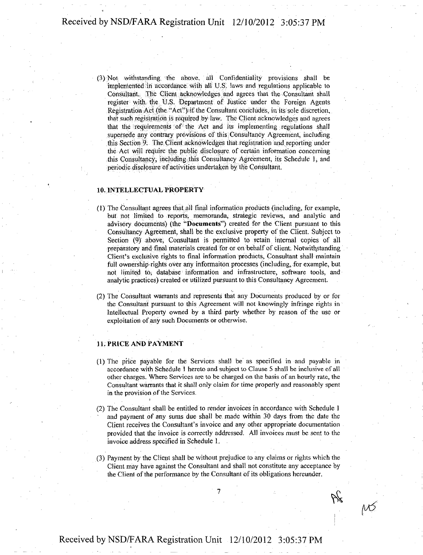(3) Not; withstanding the above, all Confidentiality provisions shall be implemented in accordance with all U.S. laws and regulations applicable to Consultant.: The Client acknowledges and agrees that the Consultant shall register with the U.S. Department of Justice under the Foreign Agents Registration Act (the "Act") if the Consultant concludes, in its sole discretion, that such registration is required by law. The Client acknowledges and agrees that the requirements of the Act and its implementing regulations shall supersede any contrary provisions of this: Consultancy Agreement, including this Section 9. The Client acknowledges that registration and reporting under the Act will require the public disclosure of certain information concerning this Consultancy, including this Consultancy Agreement, its Schedule 1, and periodic disclosure of activities undertaken by the Consultant.

#### 10. INTELLECTUAL PROPERTY

- (1) The Consultant agrees that all final information products (including, for example, but not limited to reports, memoranda, strategic reviews, and analytic and advisory documents) (the "Documents") created for the Client pursuant to this Consultancy Agreement, shall be the exclusive property of the Client. Subject to Section (9) above, Consultant is permitted to retain internal copies of all preparatory and final materials created for or on behalf of client. Notwithstanding Client's exclusive rights to final information products, Consultant shall maintain full ownership rights over any ihformaitdn processes (including, for example, but not limited tO; database information and infrastructure, software tools, and analytic practices) created or utilized pursuant to. this Consultancy Agreement.
- (2) The Consultant warrants and represents that any Documents produced by or for the Consultant pursuant to this Agreement will not knowingly infringe rights in Intellectual Property owned by a third party whether by reason of the use or exploitation of any such Documents or otherwise.

#### 11. PRICE AND PAYMENT

- $(1)$  The price payable for the Services shall be as specified in and payable in accordance with Schedule 1 hereto and subject to Clause 5 shall be inclusive of all other charges. Where Services are to be charged on the basis of an hourly rate, the Consultant warrants that it shall only claim for time properly and reasonably spent in the provision of the Services.
- (2) The Consultant shall be entitled to render invoices in accordance with Schedule 1 and payment of any sums due shall be made within 30 days from the date the Client receives the Consultant's invoice and any other appropriate documentation provided that the invoice is correctly addressed. All invoices must be sent to the invoice address specified in Schedule 1.
- (3) Payment by the Client shall be without prejudice to any claims or rights which the Client may have against the Consultant and shall not constitute any acceptance by the Client of the performance by the Consultant of its obligations hereunder.

 $M$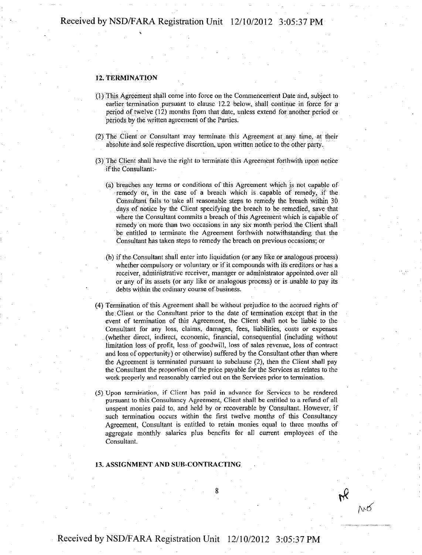#### 12. TERMINATION

- (l)This Agreement shall come into force on the Commencement Date and, subject to earlier termination pursuant to clause 12.2 below, shall continue in force for a period of twelve (12) months from that date, unless extend for another period or periods by the written agreement of the Parties.
- (2) The Client or Consultant may terminate this Agreement at any time, at their absolute and sole respective discretion, upon written notice to the other party.
- (3); The Client shall have the right to terminate this Agreement forthwith upon notice if the Consultant:-
	- (a) breaches any terms or conditions of this Agreement which is not capable of remedy or, in the case of a breach which is capable of remedy, if the Consultant fails to take all reasonable steps to remedy the breach within 30 days of notice by the Client specifying the breach to be remedied, save that Where the Consultant commits a breach of this Agreement which is capable of remedy on more than two occasions in any six month period the Client shall be entitled to terminate the Agreement forthwith notwithstanding that the Consultant has taken steps to remedy the breach on previous occasions; or
	- (b) if the Consultant shall enter into liquidation (or any like or analogous process) whether compulsory or voluntary or if it compounds with its creditors or has a receiver, administrative receiver, manager or administrator appointed over all or any of its assets (or any like or analogous process) or is unable to pay its debts within the ordinary course of business.
- (4) Termination of this Agreement shall be without prejudice to the accrued rights of die Client or the Consultant prior to the dale of termination except that in the event of termination of this Agreement, the Client shall not be liable to the Consultant for any loss, claims, damages, fees, liabilities, costs or expenses (whether direct, indirect, economic, financial, consequential (including without limitation loss of profit, loss of goodwill, loss of sales revenue, loss of contract and loss of opportunity) or otherwise) suffered by the Consultant other than where the Agreement is terminated pursuant to subclause (2), then the Client shall pay the Consultant the proportion of the price payable for the Services as relates to the work properly and reasonably carried out on the Services prior to termination.
- (5) Upon termination, if Client has paid in advance for Services to be rendered pursuant to this Consultancy Agreement, Client shall be entitled to a refund of all unspent monies paid to, and held by or recoverable by Consultant. However, if such termination occurs within the first twelve months of this Consultancy Agreement, Consultant is entitled to retain monies equal to three months of aggregate monthly salaries plus benefits for all current employees of the Consultant.

#### 13. ASSIGNMENT AND SUB-CONTRACTING

 $M<sub>o</sub>$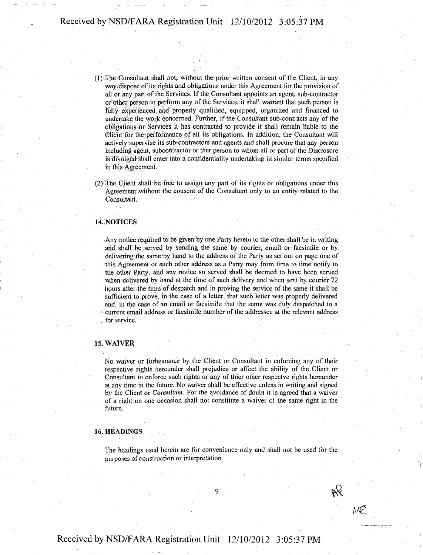- (1) The Consultant shall not, without the prior written consent of the Client, in any way dispose of its rights and obligations under this Agreement for the provision of all or any part of the Services. If the Consultant appoints an agent, sub-contractor or other person to perform any of the Services, it shall warrant that such person is fully experienced and properly qualified, equipped, organized and financed to undertake the work concerned. Further, if the Consultant sub-contracts any of the obligations or Services it has contracted to provide it shall remain liable to the Client for the performance of all its obligations. In addition, the Consultant will actively supervise its sub-contractors and agents and shall procure that any person including agent, subcontractor or ther person to whom all or part of the Disclosure is divulged shall enter into a confidentiality undertaking in similar terms specified in this Agreement.
- (2) The Client shall be free to assign any part of its rights or obligations under this Agreement without the consent of the Consultant only to an entity related to the Consultant.

#### 14 NOTICES

Any notice required to be given by one Party hereto to the other shall be in writing and shall be served by sending the same by courier, email or facsimile or by delivering the same by hand to the address of the Party as set out on page one of this Agreement or such other address as a Party may from time to time notify to the other Party, and any notice so served shall be deemed to have been served when delivered by hand at the time of such delivery and when sent by courier 72 hours after the time of despatch and in proving the service of the same it shall be sufficient to prove, in the case of a letter, that such letter was properly delivered and, in the case of an email or facsimile that the same was duly despatched to a • current email address or facsimile number of the addressee at the relevant address for service.

#### 15. WAIVER

No waiver or forbearance by the Client or Consultant in enforcing any of their respective rights hereunder shall prejudice or affect the ability of the Client or Consultant to enforce such rights or any of thier other respectve rights hereunder at any time in the future. No waiver shall be effective unless in writing and signed by the Client or Consultant. For the avoidance of doubt it is agreed that a waiver of a right on one occasion shall not constitute a waiver of the same right in the future.

#### 16. HEADINGS

The headings used herein are for convenience only and shall not be used for the puiposes of construction or interpretation.

i<br>i<br>i

MP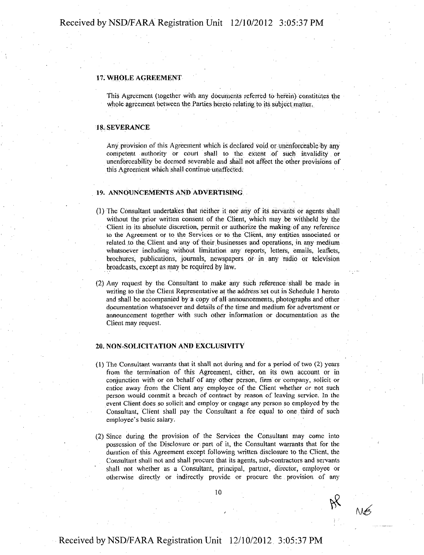#### 17. WHOLE AGREEMENT

This Agreement (together with any documents referred to herein) constitutes the whole agreement between the Parties hereto relating to its subject matter.

#### 18.SEVERANCE

Any provision of this Agreement which is declared void or unenforceable by any competent authority or court shall to the extent of such invalidity or unenforceability be deemed severable and shall not affect the other provisions of this Agreement which shall continue unaffected.

#### 19. ANNOUNCEMENTS AND ADVERTISING

- (1) The Consultant undertakes that neither it nor any of its servants or agents shall without the prior written consent of the Client, which may be withheld by the Client in its absolute discretion, permit or authorize the making of any reference to the Agreement or to the Services or to the Client, any entities associated or related to the. Client and any of their businesses and operations, in any medium whatsoever including without limitation any reports, letters, emails, leaflets, brochures; publications, journals, newspapers Of in any radio or television broadcasts, except as may be required by law.
- (2) Any request by the Consultant to make any such reference shall be made in writing to the the Client Representative at the address set out in Schedule 1 hereto and shall be accompanied by a copy of all announcements, photographs and other documentation whatsoever and details of the time and medium for advertsment or announcement together with such other information or documentation as the Client may request.

#### 20. NON-SOLICITATION AND EXCLUSIVITY

- (1) The Consultant warrants that it shall not during and for a period of two (2) years from the termination of this Agreement, either, on its own account or in conjunction with or on behalf of any other person, firm or company, solicit or entice away from the Client any employee of the Client whether or not such person would commit a breach of contract by reason of leaving service. In the event Client does so solicit and employ or engage any person so employed by the Consultant, Client shall pay the Consultant a fee equal to one third of such employee's basic salary.
- (2) Since during the provision of the Services the Consultant may come into possession of the Disclosure or part of it, the Consultant warrants that for the duration of this Agreement except following written disclosure to the Client, the Consultant shall not and shall procure that its agents, sub-contractors and servants shall not whether as a Consultant, principal, partner, director, employee or otherwise directly or indirectly provide or procure the provision of any

 $M<sub>2</sub>$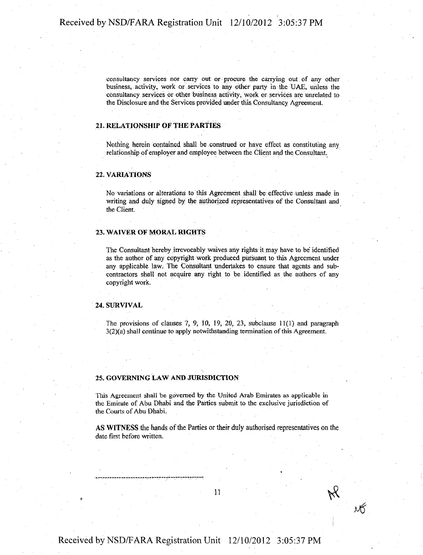consultancy services nor carry out or procure the carrying out of any other business, activity, work or services to any other party in the UAE, unless the consultancy services or other business activity, work or services are unrelated to the Disclosure and the Services provided under this Consultancy Agreement.

#### 21. RELATIONSHIP OF THE PARTIES

Nothing herein contained shall be construed or haye effect as constituting any relationship of employer and employee between the Client and the Consultant.

#### 22. VARIATIONS

No variations or alterations to this Agreement shall be effective unless made in writing and duly signed by the authorized representatives of the Consultant and the Client.

#### 23. WAIVER OF MORAL RIGHTS

The Consultant hereby irrevocably waives any rights it may have to be identified as the author of any copyright work produced pursuant to this Agreement under any applicable law. The Consultant undertakes to ensure that agents and subcontractors shall not acquire any right to be.identified as the authors of any copyright work.

#### 24. SURVIVAL

The provisions of clauses  $7, 9, 10, 19, 20, 23$ , subclause  $11(1)$  and paragraph 3(2)(a) shall continue to apply notwithstanding termination of this Agreement.

#### 25. GOVERNING LAW AND JURISDICTION

This Agreement shall be governed by the United Arab Emirates as applicable in the Emirate of Abu Dhabi and the Parties submit to the exclusive jurisdiction of the Courts of Abu Dhabi.

AS WITNESS the hands of the Parties or their duly authorised representatives on the date first before written.

 $\boldsymbol{I}$ 

 $\nu$ 6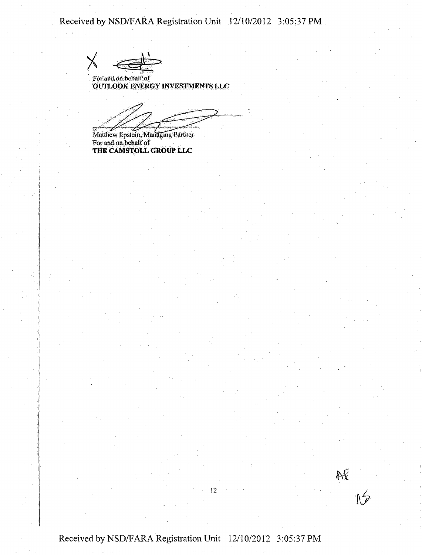For and on behalf of OUTLOOK ENERGY INVESTMENTS LLC

y

Matthew Epstein, Managing Partner For and on behalf of THE CAMSTOLL GROUP LLC

Received by NSD/FARA Registration Unit 12/10/2012 3:05:37 PM

12

AP<br>NS